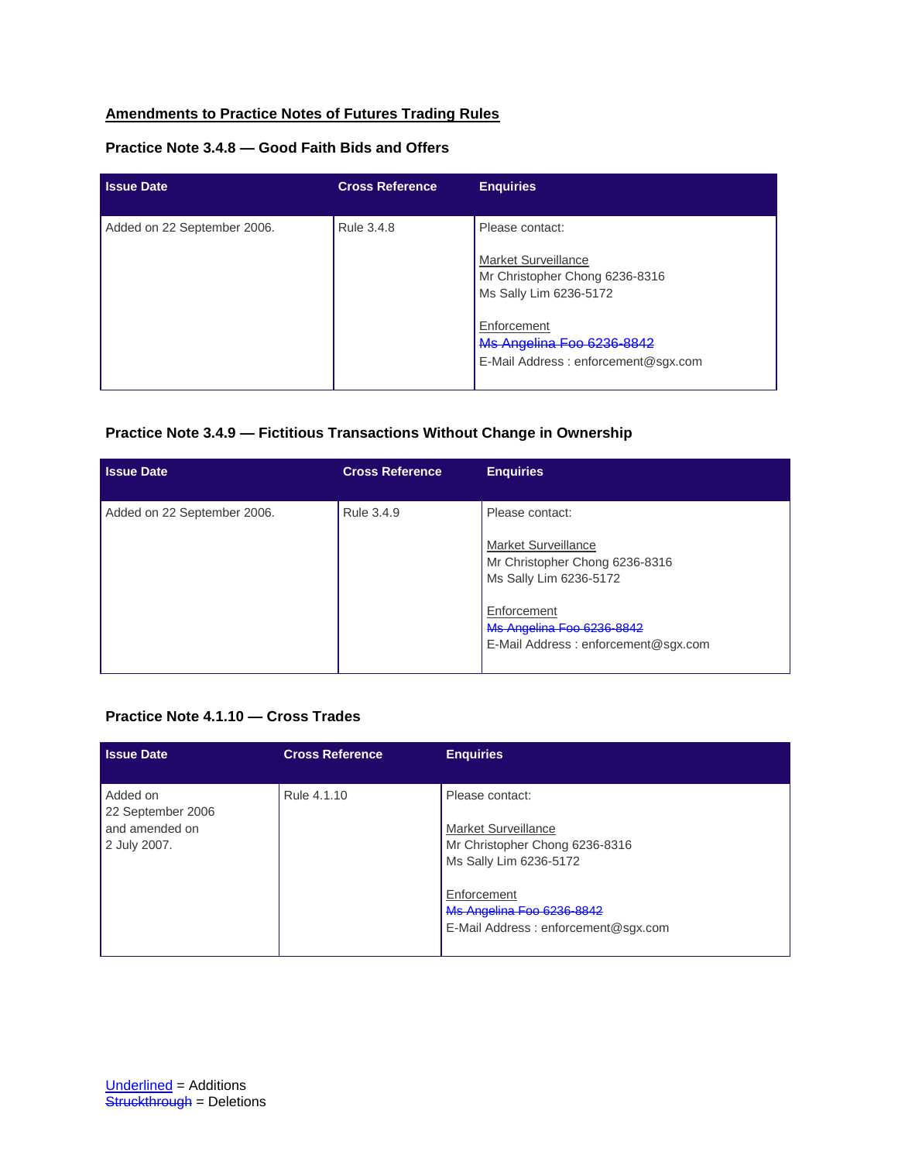# **Amendments to Practice Notes of Futures Trading Rules**

### **Practice Note 3.4.8 — Good Faith Bids and Offers**

| <b>Issue Date</b>           | <b>Cross Reference</b> | <b>Enquiries</b>                                                                |
|-----------------------------|------------------------|---------------------------------------------------------------------------------|
| Added on 22 September 2006. | Rule 3.4.8             | Please contact:                                                                 |
|                             |                        | Market Surveillance<br>Mr Christopher Chong 6236-8316<br>Ms Sally Lim 6236-5172 |
|                             |                        | Enforcement<br>Ms Angelina Foo 6236-8842<br>E-Mail Address: enforcement@sgx.com |

## **Practice Note 3.4.9 — Fictitious Transactions Without Change in Ownership**

| <b>Issue Date</b>           | <b>Cross Reference</b> | <b>Enquiries</b>                                                                                   |
|-----------------------------|------------------------|----------------------------------------------------------------------------------------------------|
| Added on 22 September 2006. | Rule 3.4.9             | Please contact:<br>Market Surveillance<br>Mr Christopher Chong 6236-8316<br>Ms Sally Lim 6236-5172 |
|                             |                        | Enforcement<br>Ms Angelina Foo 6236-8842<br>E-Mail Address: enforcement@sgx.com                    |

#### **Practice Note 4.1.10 — Cross Trades**

| <b>Issue Date</b>                                               | <b>Cross Reference</b> | <b>Enquiries</b>                                                                                                                                                                             |
|-----------------------------------------------------------------|------------------------|----------------------------------------------------------------------------------------------------------------------------------------------------------------------------------------------|
| Added on<br>22 September 2006<br>and amended on<br>2 July 2007. | Rule 4.1.10            | Please contact:<br><b>Market Surveillance</b><br>Mr Christopher Chong 6236-8316<br>Ms Sally Lim 6236-5172<br>Enforcement<br>Ms Angelina Foo 6236-8842<br>E-Mail Address: enforcement@sgx.com |